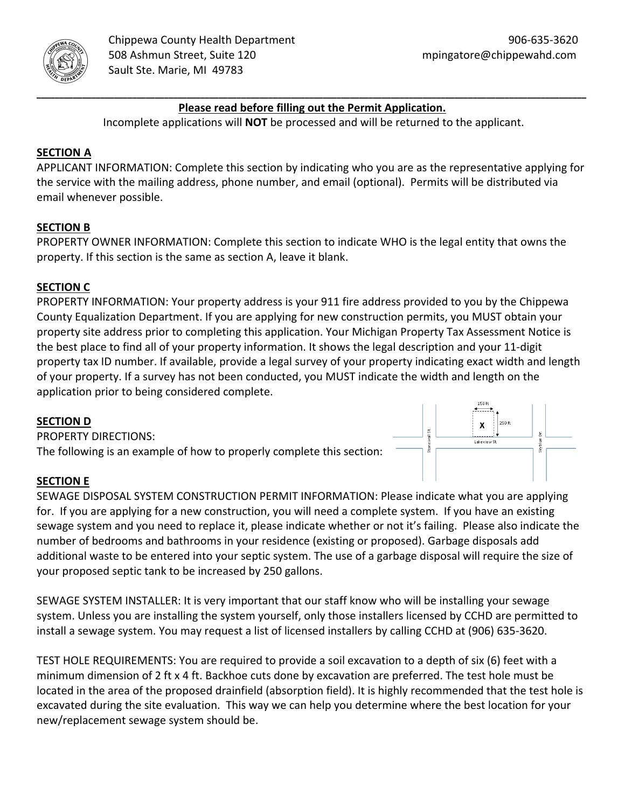

 $\pmb{\mathsf{X}}$ 

## **\_\_\_\_\_\_\_\_\_\_\_\_\_\_\_\_\_\_\_\_\_\_\_\_\_\_\_\_\_\_\_\_\_\_\_\_\_\_\_\_\_\_\_\_\_\_\_\_\_\_\_\_\_\_\_\_\_\_\_\_\_\_\_\_\_\_\_\_\_\_\_\_\_\_\_\_\_\_\_\_\_\_\_\_\_\_\_\_\_\_\_\_\_\_\_\_\_\_\_\_\_\_\_\_\_\_\_\_\_\_\_\_\_\_\_\_\_\_\_\_\_ Please read before filling out the Permit Application.**

Incomplete applications will **NOT** be processed and will be returned to the applicant.

# **SECTION A**

APPLICANT INFORMATION: Complete this section by indicating who you are as the representative applying for the service with the mailing address, phone number, and email (optional). Permits will be distributed via email whenever possible.

## **SECTION B**

PROPERTY OWNER INFORMATION: Complete this section to indicate WHO is the legal entity that owns the property. If this section is the same as section A, leave it blank.

## **SECTION C**

PROPERTY INFORMATION: Your property address is your 911 fire address provided to you by the Chippewa County Equalization Department. If you are applying for new construction permits, you MUST obtain your property site address prior to completing this application. Your Michigan Property Tax Assessment Notice is the best place to find all of your property information. It shows the legal description and your 11‐digit property tax ID number. If available, provide a legal survey of your property indicating exact width and length of your property. If a survey has not been conducted, you MUST indicate the width and length on the application prior to being considered complete.

## **SECTION D**

PROPERTY DIRECTIONS: The following is an example of how to properly complete this section:

## **SECTION E**

SEWAGE DISPOSAL SYSTEM CONSTRUCTION PERMIT INFORMATION: Please indicate what you are applying for. If you are applying for a new construction, you will need a complete system. If you have an existing sewage system and you need to replace it, please indicate whether or not it's failing. Please also indicate the number of bedrooms and bathrooms in your residence (existing or proposed). Garbage disposals add additional waste to be entered into your septic system. The use of a garbage disposal will require the size of your proposed septic tank to be increased by 250 gallons.

SEWAGE SYSTEM INSTALLER: It is very important that our staff know who will be installing your sewage system. Unless you are installing the system yourself, only those installers licensed by CCHD are permitted to install a sewage system. You may request a list of licensed installers by calling CCHD at (906) 635‐3620.

TEST HOLE REQUIREMENTS: You are required to provide a soil excavation to a depth of six (6) feet with a minimum dimension of 2 ft x 4 ft. Backhoe cuts done by excavation are preferred. The test hole must be located in the area of the proposed drainfield (absorption field). It is highly recommended that the test hole is excavated during the site evaluation. This way we can help you determine where the best location for your new/replacement sewage system should be.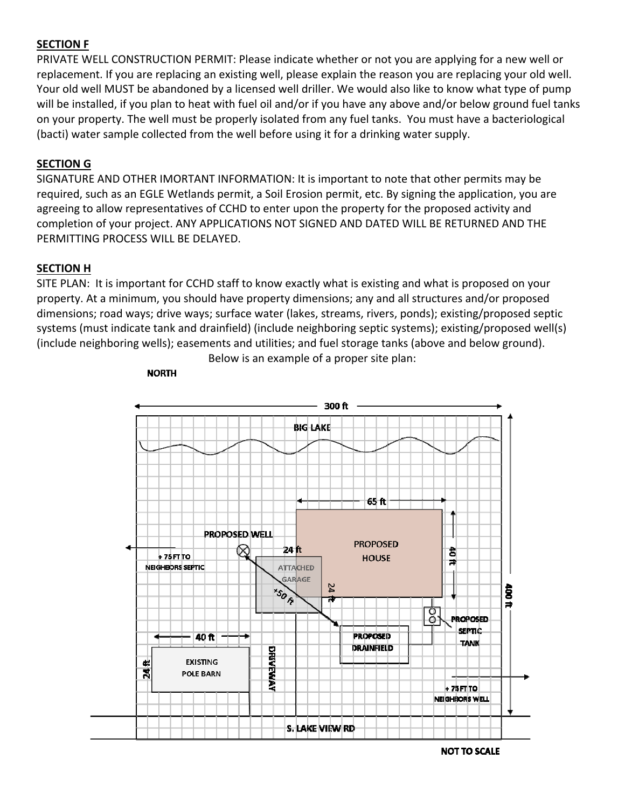## **SECTION F**

PRIVATE WELL CONSTRUCTION PERMIT: Please indicate whether or not you are applying for a new well or replacement. If you are replacing an existing well, please explain the reason you are replacing your old well. Your old well MUST be abandoned by a licensed well driller. We would also like to know what type of pump will be installed, if you plan to heat with fuel oil and/or if you have any above and/or below ground fuel tanks on your property. The well must be properly isolated from any fuel tanks. You must have a bacteriological (bacti) water sample collected from the well before using it for a drinking water supply.

#### **SECTION G**

SIGNATURE AND OTHER IMORTANT INFORMATION: It is important to note that other permits may be required, such as an EGLE Wetlands permit, a Soil Erosion permit, etc. By signing the application, you are agreeing to allow representatives of CCHD to enter upon the property for the proposed activity and completion of your project. ANY APPLICATIONS NOT SIGNED AND DATED WILL BE RETURNED AND THE PERMITTING PROCESS WILL BE DELAYED.

#### **SECTION H**

**NORTH** 

SITE PLAN: It is important for CCHD staff to know exactly what is existing and what is proposed on your property. At a minimum, you should have property dimensions; any and all structures and/or proposed dimensions; road ways; drive ways; surface water (lakes, streams, rivers, ponds); existing/proposed septic systems (must indicate tank and drainfield) (include neighboring septic systems); existing/proposed well(s) (include neighboring wells); easements and utilities; and fuel storage tanks (above and below ground).



Below is an example of a proper site plan:

**NOT TO SCALE**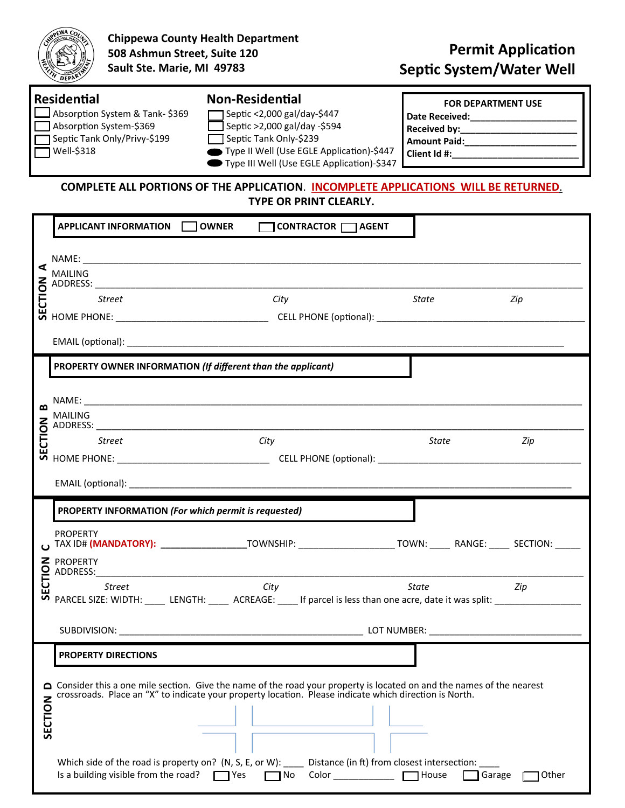

**Chippewa County Health Department 508 Ashmun Street, Suite 120 Sault Ste. Marie, MI 49783** 

| <b>Residential</b>                    | <b>Non-Residential</b>                     | <b>FOR DEPARTMENT USE</b> |
|---------------------------------------|--------------------------------------------|---------------------------|
| $\Box$ Absorption System & Tank-\$369 | Septic <2,000 gal/day-\$447                | <b>Date Received:</b>     |
| Absorption System-\$369               | Septic >2,000 gal/day -\$594               | <b>Received by:</b>       |
| Septic Tank Only/Privy-\$199          | Septic Tank Only-\$239                     | <b>Amount Paid:</b>       |
| Well-\$318                            | Type II Well (Use EGLE Application)-\$447  | Client Id #:              |
|                                       | Type III Well (Use EGLE Application)-\$347 |                           |

**COMPLETE ALL PORTIONS OF THE APPLICATION**. **INCOMPLETE APPLICATIONS WILL BE RETURNED**. **TYPE OR PRINT CLEARLY.** 

| ⋖<br>CTION | APPLICANT INFORMATION   OWNER<br>CONTRACTOR AGENT                                                                                                                                                                           |                                         |       |  |  |
|------------|-----------------------------------------------------------------------------------------------------------------------------------------------------------------------------------------------------------------------------|-----------------------------------------|-------|--|--|
|            |                                                                                                                                                                                                                             |                                         |       |  |  |
|            | MAILING                                                                                                                                                                                                                     |                                         |       |  |  |
|            | City<br>Street                                                                                                                                                                                                              | State                                   | Zip   |  |  |
|            |                                                                                                                                                                                                                             |                                         |       |  |  |
|            |                                                                                                                                                                                                                             |                                         |       |  |  |
| ≃          | PROPERTY OWNER INFORMATION (If different than the applicant)                                                                                                                                                                |                                         |       |  |  |
|            |                                                                                                                                                                                                                             |                                         |       |  |  |
|            | MAILING                                                                                                                                                                                                                     |                                         |       |  |  |
|            |                                                                                                                                                                                                                             |                                         |       |  |  |
|            |                                                                                                                                                                                                                             |                                         |       |  |  |
|            |                                                                                                                                                                                                                             |                                         |       |  |  |
|            | PROPERTY INFORMATION (For which permit is requested)                                                                                                                                                                        |                                         |       |  |  |
|            | <b>PROPERTY</b><br>ω TAX ID# (MANDATORY): __________________TOWNSHIP: _____________________TOWN: ______ RANGE: _____ SECTION: _____                                                                                         |                                         |       |  |  |
|            |                                                                                                                                                                                                                             |                                         |       |  |  |
|            | <b>Street</b><br><b>City</b><br>PARCEL SIZE: WIDTH: _____ LENGTH: _____ ACREAGE: ____ If parcel is less than one acre, date it was split: _____________________________                                                     | State<br><b>Example 2</b> Separate 2 ip |       |  |  |
|            |                                                                                                                                                                                                                             |                                         |       |  |  |
| SECTION    | <b>PROPERTY DIRECTIONS</b>                                                                                                                                                                                                  |                                         |       |  |  |
|            | Consider this a one mile section. Give the name of the road your property is located on and the names of the nearest crossroads. Place an "X" to indicate your property location. Please indicate which direction is North. |                                         |       |  |  |
|            |                                                                                                                                                                                                                             |                                         |       |  |  |
|            | Which side of the road is property on? (N, S, E, or W): _____ Distance (in ft) from closest intersection: ___<br>Color <b>T</b> House<br>Is a building visible from the road?  <br>□ Yes<br>∩ No                            | Garage                                  | Other |  |  |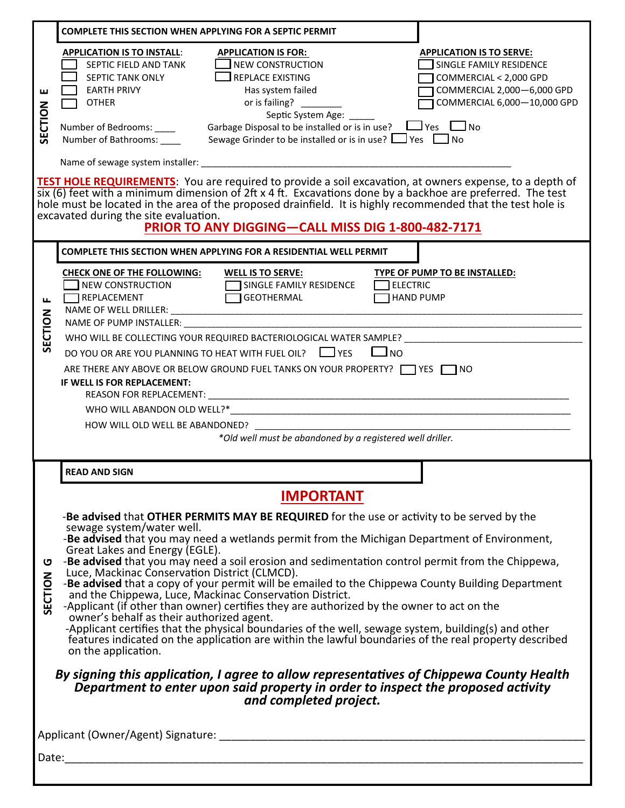|                                                                                                                                                                                                                                                                                                                         | <b>COMPLETE THIS SECTION WHEN APPLYING FOR A SEPTIC PERMIT</b>                                                                                                                                                                                                                                                                                                                                                                                                                                                                                                                                                                                                                                                                                                                                                                                                                                                                                                  |  |  |  |  |  |
|-------------------------------------------------------------------------------------------------------------------------------------------------------------------------------------------------------------------------------------------------------------------------------------------------------------------------|-----------------------------------------------------------------------------------------------------------------------------------------------------------------------------------------------------------------------------------------------------------------------------------------------------------------------------------------------------------------------------------------------------------------------------------------------------------------------------------------------------------------------------------------------------------------------------------------------------------------------------------------------------------------------------------------------------------------------------------------------------------------------------------------------------------------------------------------------------------------------------------------------------------------------------------------------------------------|--|--|--|--|--|
| ш<br>SECTION                                                                                                                                                                                                                                                                                                            | <b>APPLICATION IS TO INSTALL:</b><br><b>APPLICATION IS FOR:</b><br><b>APPLICATION IS TO SERVE:</b><br><b>NEW CONSTRUCTION</b><br>SINGLE FAMILY RESIDENCE<br>SEPTIC FIELD AND TANK<br>SEPTIC TANK ONLY<br><b>REPLACE EXISTING</b><br>COMMERCIAL < 2,000 GPD<br>COMMERCIAL 2,000-6,000 GPD<br><b>EARTH PRIVY</b><br>Has system failed<br>COMMERCIAL 6,000-10,000 GPD<br>or is failing?<br><b>OTHER</b><br>Septic System Age:<br>Garbage Disposal to be installed or is in use? $\Box$ Yes $\Box$ No<br>Number of Bedrooms: _____<br>Sewage Grinder to be installed or is in use? $\Box$ Yes $\Box$ No<br>Number of Bathrooms:                                                                                                                                                                                                                                                                                                                                     |  |  |  |  |  |
|                                                                                                                                                                                                                                                                                                                         | TEST HOLE REQUIREMENTS: You are required to provide a soil excavation, at owners expense, to a depth of                                                                                                                                                                                                                                                                                                                                                                                                                                                                                                                                                                                                                                                                                                                                                                                                                                                         |  |  |  |  |  |
| six (6) feet with a minimum dimension of 2ft x 4 ft. Excavations done by a backhoe are preferred. The test<br>hole must be located in the area of the proposed drainfield. It is highly recommended that the test hole is<br>excavated during the site evaluation.<br>PRIOR TO ANY DIGGING-CALL MISS DIG 1-800-482-7171 |                                                                                                                                                                                                                                                                                                                                                                                                                                                                                                                                                                                                                                                                                                                                                                                                                                                                                                                                                                 |  |  |  |  |  |
|                                                                                                                                                                                                                                                                                                                         | COMPLETE THIS SECTION WHEN APPLYING FOR A RESIDENTIAL WELL PERMIT                                                                                                                                                                                                                                                                                                                                                                                                                                                                                                                                                                                                                                                                                                                                                                                                                                                                                               |  |  |  |  |  |
| щ                                                                                                                                                                                                                                                                                                                       | <b>CHECK ONE OF THE FOLLOWING:</b><br>TYPE OF PUMP TO BE INSTALLED:<br><b>WELL IS TO SERVE:</b><br>$\Box$ NEW CONSTRUCTION<br><b>ELECTRIC</b><br>SINGLE FAMILY RESIDENCE<br>GEOTHERMAL<br>REPLACEMENT<br><b>HAND PUMP</b>                                                                                                                                                                                                                                                                                                                                                                                                                                                                                                                                                                                                                                                                                                                                       |  |  |  |  |  |
| SECTION                                                                                                                                                                                                                                                                                                                 | WHO WILL BE COLLECTING YOUR REQUIRED BACTERIOLOGICAL WATER SAMPLE? Network and the service of the service of the                                                                                                                                                                                                                                                                                                                                                                                                                                                                                                                                                                                                                                                                                                                                                                                                                                                |  |  |  |  |  |
|                                                                                                                                                                                                                                                                                                                         | DO YOU OR ARE YOU PLANNING TO HEAT WITH FUEL OIL? □ YES<br>$\Box$ NO                                                                                                                                                                                                                                                                                                                                                                                                                                                                                                                                                                                                                                                                                                                                                                                                                                                                                            |  |  |  |  |  |
|                                                                                                                                                                                                                                                                                                                         | ARE THERE ANY ABOVE OR BELOW GROUND FUEL TANKS ON YOUR PROPERTY? THERE ANY ABOVE OR BELOW GROUND FUEL TANKS ON YOUR PROPERTY?<br>IF WELL IS FOR REPLACEMENT:<br>REASON FOR REPLACEMENT:                                                                                                                                                                                                                                                                                                                                                                                                                                                                                                                                                                                                                                                                                                                                                                         |  |  |  |  |  |
|                                                                                                                                                                                                                                                                                                                         | WHO WILL ABANDON OLD WELL?*                                                                                                                                                                                                                                                                                                                                                                                                                                                                                                                                                                                                                                                                                                                                                                                                                                                                                                                                     |  |  |  |  |  |
|                                                                                                                                                                                                                                                                                                                         | HOW WILL OLD WELL BE ABANDONED?<br>*Old well must be abandoned by a registered well driller.                                                                                                                                                                                                                                                                                                                                                                                                                                                                                                                                                                                                                                                                                                                                                                                                                                                                    |  |  |  |  |  |
|                                                                                                                                                                                                                                                                                                                         |                                                                                                                                                                                                                                                                                                                                                                                                                                                                                                                                                                                                                                                                                                                                                                                                                                                                                                                                                                 |  |  |  |  |  |
|                                                                                                                                                                                                                                                                                                                         | <b>READ AND SIGN</b>                                                                                                                                                                                                                                                                                                                                                                                                                                                                                                                                                                                                                                                                                                                                                                                                                                                                                                                                            |  |  |  |  |  |
|                                                                                                                                                                                                                                                                                                                         | <b>IMPORTANT</b>                                                                                                                                                                                                                                                                                                                                                                                                                                                                                                                                                                                                                                                                                                                                                                                                                                                                                                                                                |  |  |  |  |  |
| ပ<br>SECTION                                                                                                                                                                                                                                                                                                            | -Be advised that OTHER PERMITS MAY BE REQUIRED for the use or activity to be served by the<br>sewage system/water well.<br>-Be advised that you may need a wetlands permit from the Michigan Department of Environment,<br>Great Lakes and Energy (EGLE).<br>-Be advised that you may need a soil erosion and sedimentation control permit from the Chippewa,<br>Luce, Mackinac Conservation District (CLMCD).<br>-Be advised that a copy of your permit will be emailed to the Chippewa County Building Department<br>and the Chippewa, Luce, Mackinac Conservation District.<br>-Applicant (if other than owner) certifies they are authorized by the owner to act on the<br>owner's behalf as their authorized agent.<br>-Applicant certifies that the physical boundaries of the well, sewage system, building(s) and other<br>features indicated on the application are within the lawful boundaries of the real property described<br>on the application. |  |  |  |  |  |
|                                                                                                                                                                                                                                                                                                                         | By signing this application, I agree to allow representatives of Chippewa County Health<br>Department to enter upon said property in order to inspect the proposed activity<br>and completed project.                                                                                                                                                                                                                                                                                                                                                                                                                                                                                                                                                                                                                                                                                                                                                           |  |  |  |  |  |
|                                                                                                                                                                                                                                                                                                                         |                                                                                                                                                                                                                                                                                                                                                                                                                                                                                                                                                                                                                                                                                                                                                                                                                                                                                                                                                                 |  |  |  |  |  |
| Date:                                                                                                                                                                                                                                                                                                                   |                                                                                                                                                                                                                                                                                                                                                                                                                                                                                                                                                                                                                                                                                                                                                                                                                                                                                                                                                                 |  |  |  |  |  |